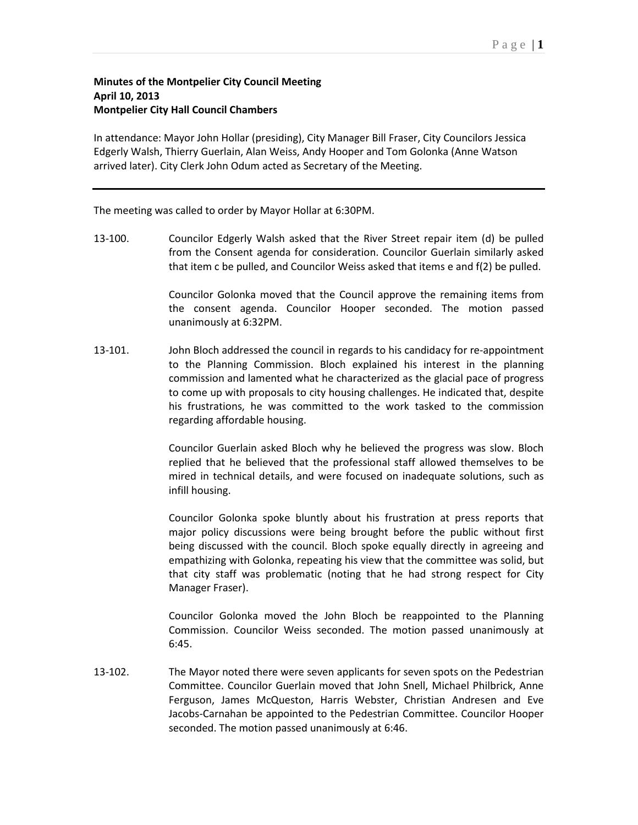## **Minutes of the Montpelier City Council Meeting April 10, 2013 Montpelier City Hall Council Chambers**

In attendance: Mayor John Hollar (presiding), City Manager Bill Fraser, City Councilors Jessica Edgerly Walsh, Thierry Guerlain, Alan Weiss, Andy Hooper and Tom Golonka (Anne Watson arrived later). City Clerk John Odum acted as Secretary of the Meeting.

The meeting was called to order by Mayor Hollar at 6:30PM.

13-100. Councilor Edgerly Walsh asked that the River Street repair item (d) be pulled from the Consent agenda for consideration. Councilor Guerlain similarly asked that item c be pulled, and Councilor Weiss asked that items e and f(2) be pulled.

> Councilor Golonka moved that the Council approve the remaining items from the consent agenda. Councilor Hooper seconded. The motion passed unanimously at 6:32PM.

13-101. John Bloch addressed the council in regards to his candidacy for re-appointment to the Planning Commission. Bloch explained his interest in the planning commission and lamented what he characterized as the glacial pace of progress to come up with proposals to city housing challenges. He indicated that, despite his frustrations, he was committed to the work tasked to the commission regarding affordable housing.

> Councilor Guerlain asked Bloch why he believed the progress was slow. Bloch replied that he believed that the professional staff allowed themselves to be mired in technical details, and were focused on inadequate solutions, such as infill housing.

> Councilor Golonka spoke bluntly about his frustration at press reports that major policy discussions were being brought before the public without first being discussed with the council. Bloch spoke equally directly in agreeing and empathizing with Golonka, repeating his view that the committee was solid, but that city staff was problematic (noting that he had strong respect for City Manager Fraser).

> Councilor Golonka moved the John Bloch be reappointed to the Planning Commission. Councilor Weiss seconded. The motion passed unanimously at 6:45.

13-102. The Mayor noted there were seven applicants for seven spots on the Pedestrian Committee. Councilor Guerlain moved that John Snell, Michael Philbrick, Anne Ferguson, James McQueston, Harris Webster, Christian Andresen and Eve Jacobs-Carnahan be appointed to the Pedestrian Committee. Councilor Hooper seconded. The motion passed unanimously at 6:46.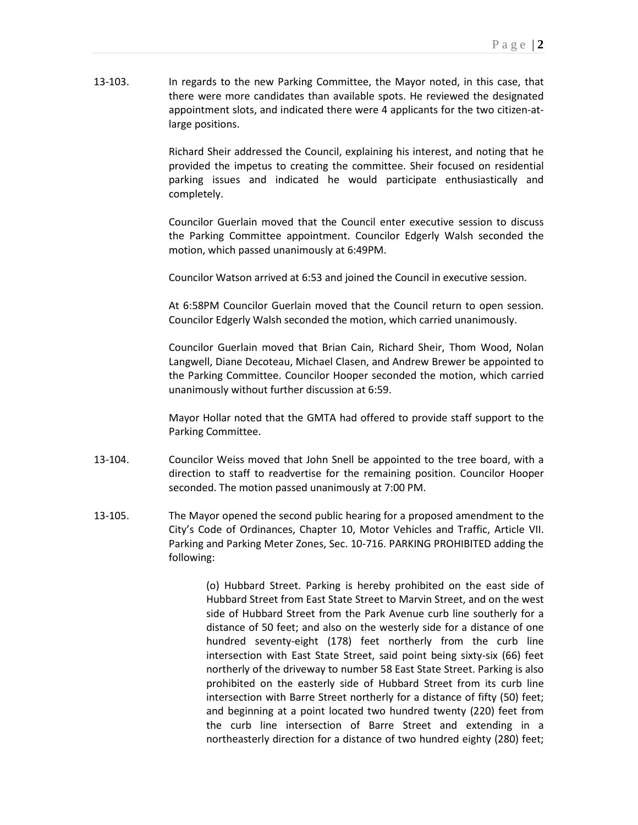13-103. In regards to the new Parking Committee, the Mayor noted, in this case, that there were more candidates than available spots. He reviewed the designated appointment slots, and indicated there were 4 applicants for the two citizen-atlarge positions.

> Richard Sheir addressed the Council, explaining his interest, and noting that he provided the impetus to creating the committee. Sheir focused on residential parking issues and indicated he would participate enthusiastically and completely.

> Councilor Guerlain moved that the Council enter executive session to discuss the Parking Committee appointment. Councilor Edgerly Walsh seconded the motion, which passed unanimously at 6:49PM.

Councilor Watson arrived at 6:53 and joined the Council in executive session.

At 6:58PM Councilor Guerlain moved that the Council return to open session. Councilor Edgerly Walsh seconded the motion, which carried unanimously.

Councilor Guerlain moved that Brian Cain, Richard Sheir, Thom Wood, Nolan Langwell, Diane Decoteau, Michael Clasen, and Andrew Brewer be appointed to the Parking Committee. Councilor Hooper seconded the motion, which carried unanimously without further discussion at 6:59.

Mayor Hollar noted that the GMTA had offered to provide staff support to the Parking Committee.

- 13-104. Councilor Weiss moved that John Snell be appointed to the tree board, with a direction to staff to readvertise for the remaining position. Councilor Hooper seconded. The motion passed unanimously at 7:00 PM.
- 13-105. The Mayor opened the second public hearing for a proposed amendment to the City's Code of Ordinances, Chapter 10, Motor Vehicles and Traffic, Article VII. Parking and Parking Meter Zones, Sec. 10-716. PARKING PROHIBITED adding the following:

(o) Hubbard Street. Parking is hereby prohibited on the east side of Hubbard Street from East State Street to Marvin Street, and on the west side of Hubbard Street from the Park Avenue curb line southerly for a distance of 50 feet; and also on the westerly side for a distance of one hundred seventy-eight (178) feet northerly from the curb line intersection with East State Street, said point being sixty-six (66) feet northerly of the driveway to number 58 East State Street. Parking is also prohibited on the easterly side of Hubbard Street from its curb line intersection with Barre Street northerly for a distance of fifty (50) feet; and beginning at a point located two hundred twenty (220) feet from the curb line intersection of Barre Street and extending in a northeasterly direction for a distance of two hundred eighty (280) feet;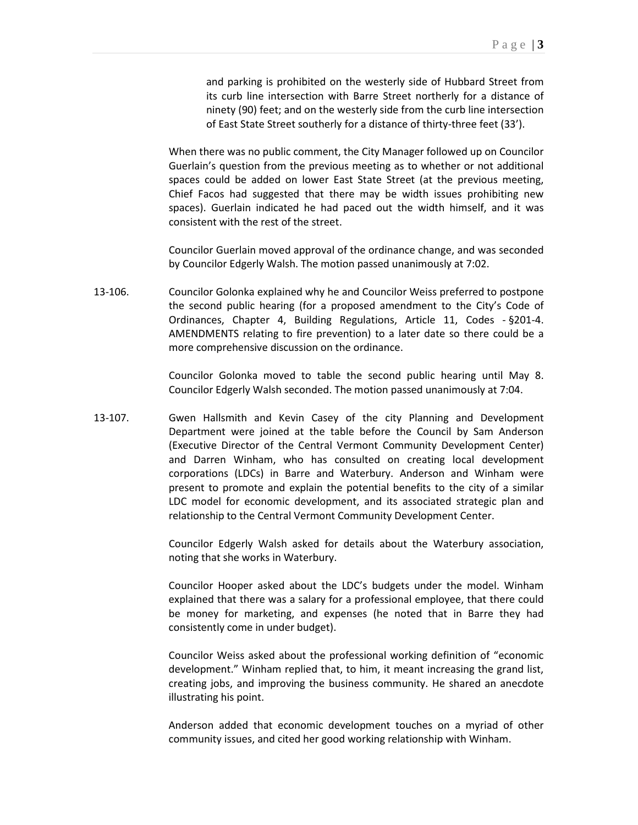and parking is prohibited on the westerly side of Hubbard Street from its curb line intersection with Barre Street northerly for a distance of ninety (90) feet; and on the westerly side from the curb line intersection of East State Street southerly for a distance of thirty-three feet (33').

When there was no public comment, the City Manager followed up on Councilor Guerlain's question from the previous meeting as to whether or not additional spaces could be added on lower East State Street (at the previous meeting, Chief Facos had suggested that there may be width issues prohibiting new spaces). Guerlain indicated he had paced out the width himself, and it was consistent with the rest of the street.

Councilor Guerlain moved approval of the ordinance change, and was seconded by Councilor Edgerly Walsh. The motion passed unanimously at 7:02.

13-106. Councilor Golonka explained why he and Councilor Weiss preferred to postpone the second public hearing (for a proposed amendment to the City's Code of Ordinances, Chapter 4, Building Regulations, Article 11, Codes - §201-4. AMENDMENTS relating to fire prevention) to a later date so there could be a more comprehensive discussion on the ordinance.

> Councilor Golonka moved to table the second public hearing until May 8. Councilor Edgerly Walsh seconded. The motion passed unanimously at 7:04.

13-107. Gwen Hallsmith and Kevin Casey of the city Planning and Development Department were joined at the table before the Council by Sam Anderson (Executive Director of the Central Vermont Community Development Center) and Darren Winham, who has consulted on creating local development corporations (LDCs) in Barre and Waterbury. Anderson and Winham were present to promote and explain the potential benefits to the city of a similar LDC model for economic development, and its associated strategic plan and relationship to the Central Vermont Community Development Center.

> Councilor Edgerly Walsh asked for details about the Waterbury association, noting that she works in Waterbury.

> Councilor Hooper asked about the LDC's budgets under the model. Winham explained that there was a salary for a professional employee, that there could be money for marketing, and expenses (he noted that in Barre they had consistently come in under budget).

> Councilor Weiss asked about the professional working definition of "economic development." Winham replied that, to him, it meant increasing the grand list, creating jobs, and improving the business community. He shared an anecdote illustrating his point.

> Anderson added that economic development touches on a myriad of other community issues, and cited her good working relationship with Winham.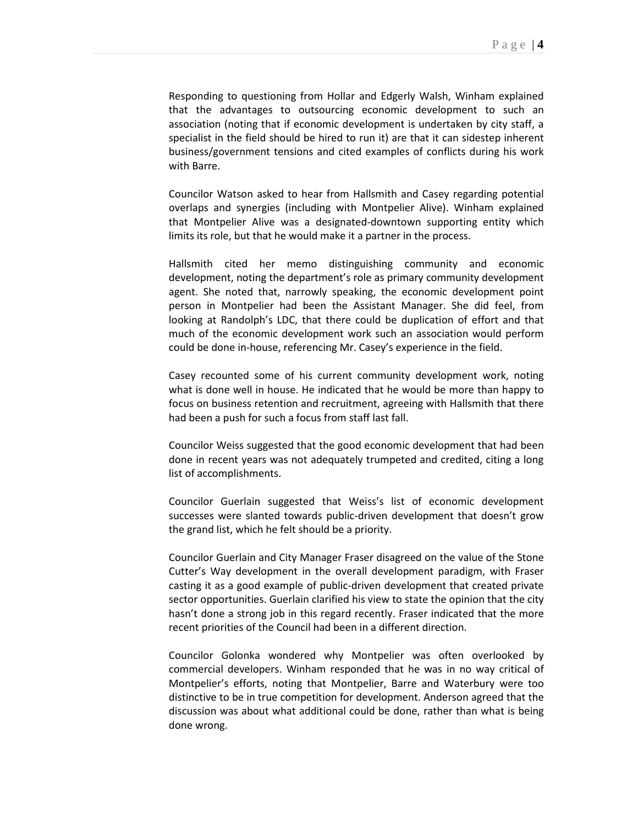Responding to questioning from Hollar and Edgerly Walsh, Winham explained that the advantages to outsourcing economic development to such an association (noting that if economic development is undertaken by city staff, a specialist in the field should be hired to run it) are that it can sidestep inherent business/government tensions and cited examples of conflicts during his work with Barre.

Councilor Watson asked to hear from Hallsmith and Casey regarding potential overlaps and synergies (including with Montpelier Alive). Winham explained that Montpelier Alive was a designated-downtown supporting entity which limits its role, but that he would make it a partner in the process.

Hallsmith cited her memo distinguishing community and economic development, noting the department's role as primary community development agent. She noted that, narrowly speaking, the economic development point person in Montpelier had been the Assistant Manager. She did feel, from looking at Randolph's LDC, that there could be duplication of effort and that much of the economic development work such an association would perform could be done in-house, referencing Mr. Casey's experience in the field.

Casey recounted some of his current community development work, noting what is done well in house. He indicated that he would be more than happy to focus on business retention and recruitment, agreeing with Hallsmith that there had been a push for such a focus from staff last fall.

Councilor Weiss suggested that the good economic development that had been done in recent years was not adequately trumpeted and credited, citing a long list of accomplishments.

Councilor Guerlain suggested that Weiss's list of economic development successes were slanted towards public-driven development that doesn't grow the grand list, which he felt should be a priority.

Councilor Guerlain and City Manager Fraser disagreed on the value of the Stone Cutter's Way development in the overall development paradigm, with Fraser casting it as a good example of public-driven development that created private sector opportunities. Guerlain clarified his view to state the opinion that the city hasn't done a strong job in this regard recently. Fraser indicated that the more recent priorities of the Council had been in a different direction.

Councilor Golonka wondered why Montpelier was often overlooked by commercial developers. Winham responded that he was in no way critical of Montpelier's efforts, noting that Montpelier, Barre and Waterbury were too distinctive to be in true competition for development. Anderson agreed that the discussion was about what additional could be done, rather than what is being done wrong.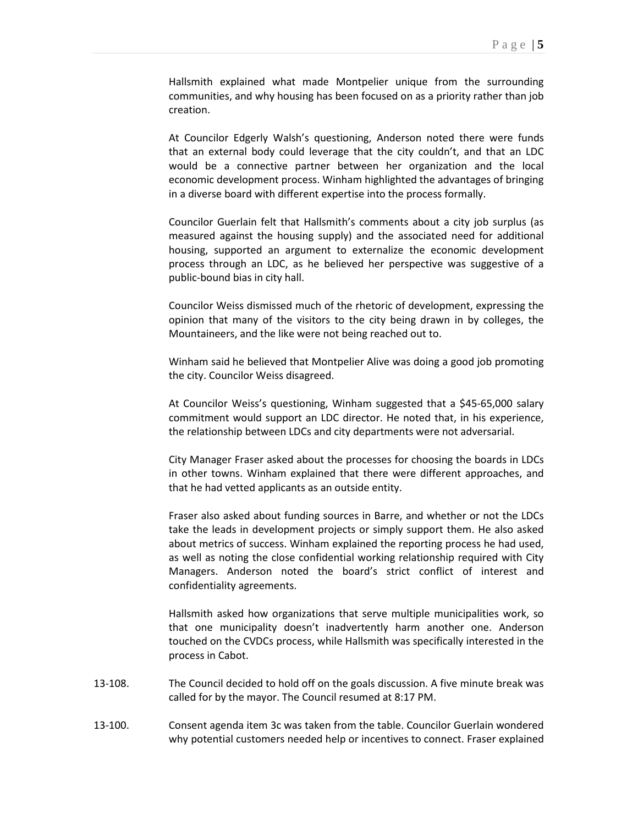Hallsmith explained what made Montpelier unique from the surrounding communities, and why housing has been focused on as a priority rather than job creation.

At Councilor Edgerly Walsh's questioning, Anderson noted there were funds that an external body could leverage that the city couldn't, and that an LDC would be a connective partner between her organization and the local economic development process. Winham highlighted the advantages of bringing in a diverse board with different expertise into the process formally.

Councilor Guerlain felt that Hallsmith's comments about a city job surplus (as measured against the housing supply) and the associated need for additional housing, supported an argument to externalize the economic development process through an LDC, as he believed her perspective was suggestive of a public-bound bias in city hall.

Councilor Weiss dismissed much of the rhetoric of development, expressing the opinion that many of the visitors to the city being drawn in by colleges, the Mountaineers, and the like were not being reached out to.

Winham said he believed that Montpelier Alive was doing a good job promoting the city. Councilor Weiss disagreed.

At Councilor Weiss's questioning, Winham suggested that a \$45-65,000 salary commitment would support an LDC director. He noted that, in his experience, the relationship between LDCs and city departments were not adversarial.

City Manager Fraser asked about the processes for choosing the boards in LDCs in other towns. Winham explained that there were different approaches, and that he had vetted applicants as an outside entity.

Fraser also asked about funding sources in Barre, and whether or not the LDCs take the leads in development projects or simply support them. He also asked about metrics of success. Winham explained the reporting process he had used, as well as noting the close confidential working relationship required with City Managers. Anderson noted the board's strict conflict of interest and confidentiality agreements.

Hallsmith asked how organizations that serve multiple municipalities work, so that one municipality doesn't inadvertently harm another one. Anderson touched on the CVDCs process, while Hallsmith was specifically interested in the process in Cabot.

- 13-108. The Council decided to hold off on the goals discussion. A five minute break was called for by the mayor. The Council resumed at 8:17 PM.
- 13-100. Consent agenda item 3c was taken from the table. Councilor Guerlain wondered why potential customers needed help or incentives to connect. Fraser explained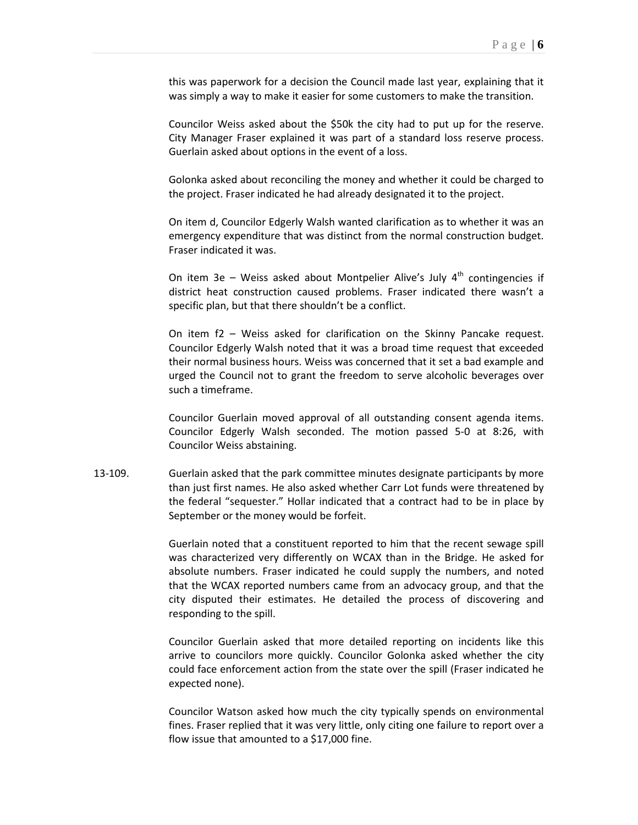this was paperwork for a decision the Council made last year, explaining that it was simply a way to make it easier for some customers to make the transition.

Councilor Weiss asked about the \$50k the city had to put up for the reserve. City Manager Fraser explained it was part of a standard loss reserve process. Guerlain asked about options in the event of a loss.

Golonka asked about reconciling the money and whether it could be charged to the project. Fraser indicated he had already designated it to the project.

On item d, Councilor Edgerly Walsh wanted clarification as to whether it was an emergency expenditure that was distinct from the normal construction budget. Fraser indicated it was.

On item 3e – Weiss asked about Montpelier Alive's July  $4<sup>th</sup>$  contingencies if district heat construction caused problems. Fraser indicated there wasn't a specific plan, but that there shouldn't be a conflict.

On item f2 – Weiss asked for clarification on the Skinny Pancake request. Councilor Edgerly Walsh noted that it was a broad time request that exceeded their normal business hours. Weiss was concerned that it set a bad example and urged the Council not to grant the freedom to serve alcoholic beverages over such a timeframe.

Councilor Guerlain moved approval of all outstanding consent agenda items. Councilor Edgerly Walsh seconded. The motion passed 5-0 at 8:26, with Councilor Weiss abstaining.

13-109. Guerlain asked that the park committee minutes designate participants by more than just first names. He also asked whether Carr Lot funds were threatened by the federal "sequester." Hollar indicated that a contract had to be in place by September or the money would be forfeit.

> Guerlain noted that a constituent reported to him that the recent sewage spill was characterized very differently on WCAX than in the Bridge. He asked for absolute numbers. Fraser indicated he could supply the numbers, and noted that the WCAX reported numbers came from an advocacy group, and that the city disputed their estimates. He detailed the process of discovering and responding to the spill.

> Councilor Guerlain asked that more detailed reporting on incidents like this arrive to councilors more quickly. Councilor Golonka asked whether the city could face enforcement action from the state over the spill (Fraser indicated he expected none).

> Councilor Watson asked how much the city typically spends on environmental fines. Fraser replied that it was very little, only citing one failure to report over a flow issue that amounted to a \$17,000 fine.